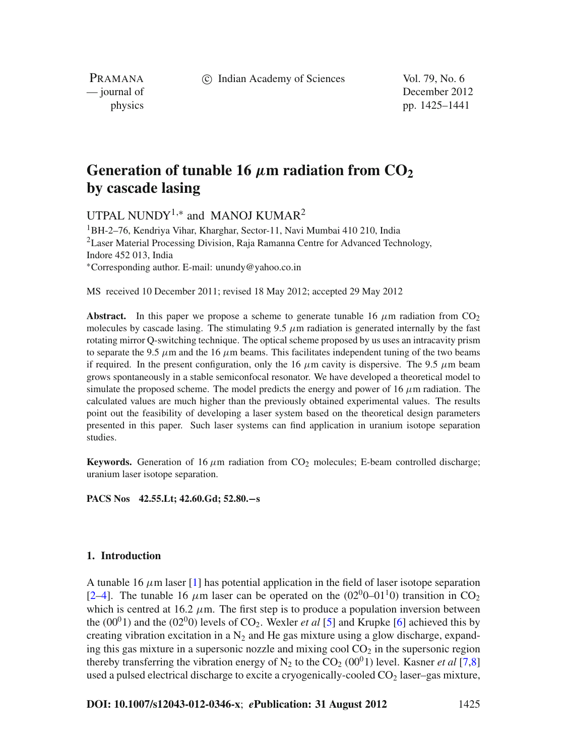c Indian Academy of Sciences Vol. 79, No. 6

PRAMANA

— journal of December 2012 physics pp. 1425–1441

# Generation of tunable 16  $\mu$ m radiation from  $CO<sub>2</sub>$ **by cascade lasing**

UTPAL NUNDY<sup>1,\*</sup> and MANOJ KUMAR<sup>2</sup>

1BH-2–76, Kendriya Vihar, Kharghar, Sector-11, Navi Mumbai 410 210, India  ${}^{2}$ Laser Material Processing Division, Raja Ramanna Centre for Advanced Technology, Indore 452 013, India <sup>∗</sup>Corresponding author. E-mail: unundy@yahoo.co.in

MS received 10 December 2011; revised 18 May 2012; accepted 29 May 2012

**Abstract.** In this paper we propose a scheme to generate tunable 16  $\mu$ m radiation from CO<sub>2</sub> molecules by cascade lasing. The stimulating  $9.5 \mu m$  radiation is generated internally by the fast rotating mirror Q-switching technique. The optical scheme proposed by us uses an intracavity prism to separate the 9.5  $\mu$ m and the 16  $\mu$ m beams. This facilitates independent tuning of the two beams if required. In the present configuration, only the 16  $\mu$ m cavity is dispersive. The 9.5  $\mu$ m beam grows spontaneously in a stable semiconfocal resonator. We have developed a theoretical model to simulate the proposed scheme. The model predicts the energy and power of 16  $\mu$ m radiation. The calculated values are much higher than the previously obtained experimental values. The results point out the feasibility of developing a laser system based on the theoretical design parameters presented in this paper. Such laser systems can find application in uranium isotope separation studies.

**Keywords.** Generation of 16  $\mu$ m radiation from CO<sub>2</sub> molecules; E-beam controlled discharge; uranium laser isotope separation.

**PACS Nos 42.55.Lt; 42.60.Gd; 52.80.−s**

### **1. Introduction**

A tunable 16  $\mu$ m laser [\[1](#page-15-0)] has potential application in the field of laser isotope separation [\[2](#page-15-1)[–4](#page-15-2)]. The tunable 16  $\mu$ m laser can be operated on the (02<sup>0</sup>0–01<sup>1</sup>0) transition in CO<sub>2</sub> which is centred at 16.2  $\mu$ m. The first step is to produce a population inversion between the  $(00<sup>0</sup>1)$  and the  $(02<sup>0</sup>0)$  levels of CO<sub>2</sub>. Wexler *et al* [\[5\]](#page-15-3) and Krupke [\[6](#page-15-4)] achieved this by creating vibration excitation in a  $N_2$  and He gas mixture using a glow discharge, expanding this gas mixture in a supersonic nozzle and mixing cool  $CO<sub>2</sub>$  in the supersonic region thereby transferring the vibration energy of  $N_2$  to the  $CO_2$  (00<sup>0</sup>1) level. Kasner *et al* [\[7](#page-16-0)[,8\]](#page-16-1) used a pulsed electrical discharge to excite a cryogenically-cooled  $CO<sub>2</sub>$  laser–gas mixture,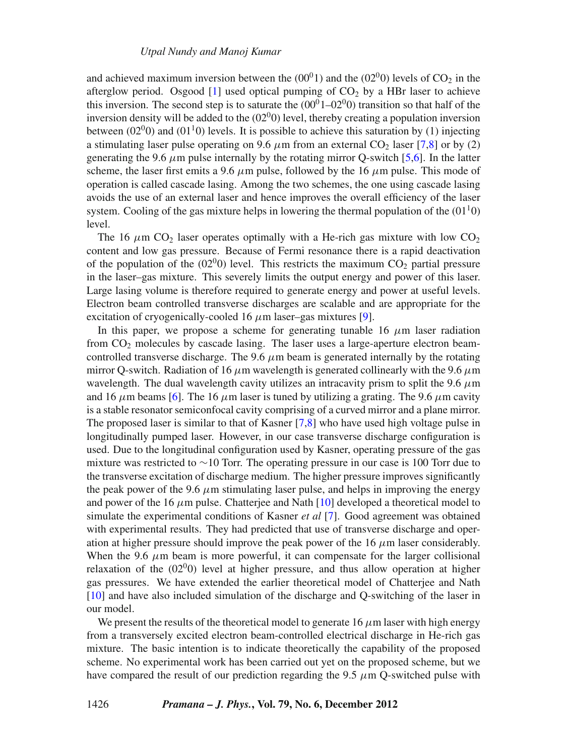and achieved maximum inversion between the  $(00<sup>0</sup>1)$  and the  $(02<sup>0</sup>0)$  levels of CO<sub>2</sub> in the afterglow period. Osgood  $[1]$  used optical pumping of  $CO<sub>2</sub>$  by a HBr laser to achieve this inversion. The second step is to saturate the  $(00^01-02^00)$  transition so that half of the inversion density will be added to the  $(02<sup>0</sup>)$  level, thereby creating a population inversion between  $(02<sup>0</sup>0)$  and  $(01<sup>1</sup>0)$  levels. It is possible to achieve this saturation by (1) injecting a stimulating laser pulse operating on 9.6  $\mu$ m from an external CO<sub>2</sub> laser [\[7](#page-16-0)[,8\]](#page-16-1) or by (2) generating the 9.6  $\mu$ m pulse internally by the rotating mirror O-switch [\[5](#page-15-3)[,6](#page-15-4)]. In the latter scheme, the laser first emits a 9.6  $\mu$ m pulse, followed by the 16  $\mu$ m pulse. This mode of operation is called cascade lasing. Among the two schemes, the one using cascade lasing avoids the use of an external laser and hence improves the overall efficiency of the laser system. Cooling of the gas mixture helps in lowering the thermal population of the  $(01<sup>1</sup>0)$ level.

The 16  $\mu$ m CO<sub>2</sub> laser operates optimally with a He-rich gas mixture with low CO<sub>2</sub> content and low gas pressure. Because of Fermi resonance there is a rapid deactivation of the population of the  $(02^00)$  level. This restricts the maximum  $CO_2$  partial pressure in the laser–gas mixture. This severely limits the output energy and power of this laser. Large lasing volume is therefore required to generate energy and power at useful levels. Electron beam controlled transverse discharges are scalable and are appropriate for the excitation of cryogenically-cooled 16  $\mu$ m laser–gas mixtures [\[9](#page-16-2)].

In this paper, we propose a scheme for generating tunable 16  $\mu$ m laser radiation from  $CO<sub>2</sub>$  molecules by cascade lasing. The laser uses a large-aperture electron beamcontrolled transverse discharge. The 9.6  $\mu$ m beam is generated internally by the rotating mirror Q-switch. Radiation of 16  $\mu$ m wavelength is generated collinearly with the 9.6  $\mu$ m wavelength. The dual wavelength cavity utilizes an intracavity prism to split the 9.6  $\mu$ m and 16  $\mu$ m beams [\[6\]](#page-15-4). The 16  $\mu$ m laser is tuned by utilizing a grating. The 9.6  $\mu$ m cavity is a stable resonator semiconfocal cavity comprising of a curved mirror and a plane mirror. The proposed laser is similar to that of Kasner [\[7](#page-16-0)[,8](#page-16-1)] who have used high voltage pulse in longitudinally pumped laser. However, in our case transverse discharge configuration is used. Due to the longitudinal configuration used by Kasner, operating pressure of the gas mixture was restricted to ∼10 Torr. The operating pressure in our case is 100 Torr due to the transverse excitation of discharge medium. The higher pressure improves significantly the peak power of the 9.6  $\mu$ m stimulating laser pulse, and helps in improving the energy and power of the 16  $\mu$ m pulse. Chatterjee and Nath [\[10\]](#page-16-3) developed a theoretical model to simulate the experimental conditions of Kasner *et al* [\[7](#page-16-0)]. Good agreement was obtained with experimental results. They had predicted that use of transverse discharge and operation at higher pressure should improve the peak power of the 16  $\mu$ m laser considerably. When the 9.6  $\mu$ m beam is more powerful, it can compensate for the larger collisional relaxation of the  $(02^00)$  level at higher pressure, and thus allow operation at higher gas pressures. We have extended the earlier theoretical model of Chatterjee and Nath [\[10](#page-16-3)] and have also included simulation of the discharge and Q-switching of the laser in our model.

We present the results of the theoretical model to generate 16  $\mu$ m laser with high energy from a transversely excited electron beam-controlled electrical discharge in He-rich gas mixture. The basic intention is to indicate theoretically the capability of the proposed scheme. No experimental work has been carried out yet on the proposed scheme, but we have compared the result of our prediction regarding the 9.5  $\mu$ m O-switched pulse with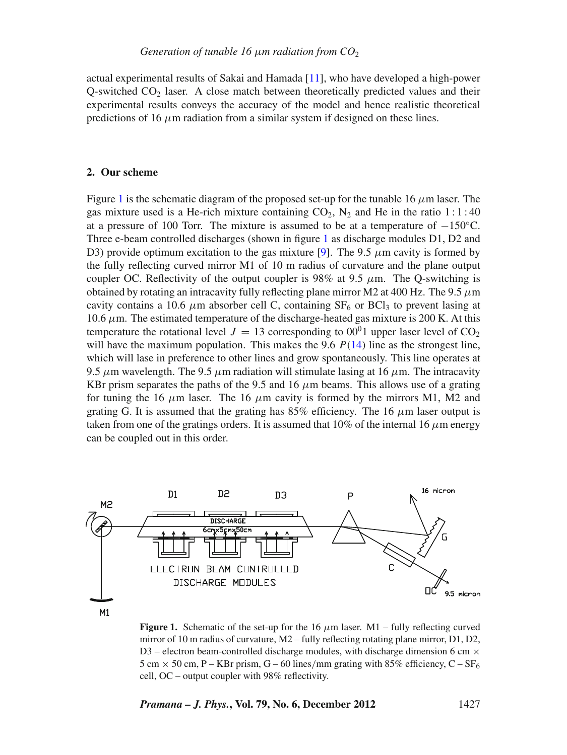actual experimental results of Sakai and Hamada [\[11\]](#page-16-4), who have developed a high-power  $O$ -switched  $CO<sub>2</sub>$  laser. A close match between theoretically predicted values and their experimental results conveys the accuracy of the model and hence realistic theoretical predictions of 16  $\mu$ m radiation from a similar system if designed on these lines.

# **2. Our scheme**

Figure [1](#page-2-0) is the schematic diagram of the proposed set-up for the tunable 16  $\mu$ m laser. The gas mixture used is a He-rich mixture containing  $CO<sub>2</sub>$ , N<sub>2</sub> and He in the ratio 1:1:40 at a pressure of 100 Torr. The mixture is assumed to be at a temperature of  $-150^{\circ}$ C. Three e-beam controlled discharges (shown in figure [1](#page-2-0) as discharge modules D1, D2 and D3) provide optimum excitation to the gas mixture [\[9\]](#page-16-2). The 9.5  $\mu$ m cavity is formed by the fully reflecting curved mirror M1 of 10 m radius of curvature and the plane output coupler OC. Reflectivity of the output coupler is 98% at 9.5  $\mu$ m. The Q-switching is obtained by rotating an intracavity fully reflecting plane mirror M2 at 400 Hz. The 9.5  $\mu$ m cavity contains a 10.6  $\mu$ m absorber cell C, containing SF<sub>6</sub> or BCl<sub>3</sub> to prevent lasing at  $10.6 \mu$ m. The estimated temperature of the discharge-heated gas mixture is 200 K. At this temperature the rotational level  $J = 13$  corresponding to 00<sup>0</sup>1 upper laser level of CO<sub>2</sub> will have the maximum population. This makes the 9.6  $P(14)$  $P(14)$  line as the strongest line, which will lase in preference to other lines and grow spontaneously. This line operates at 9.5  $\mu$ m wavelength. The 9.5  $\mu$ m radiation will stimulate lasing at 16  $\mu$ m. The intracavity KBr prism separates the paths of the 9.5 and 16  $\mu$ m beams. This allows use of a grating for tuning the 16  $\mu$ m laser. The 16  $\mu$ m cavity is formed by the mirrors M1, M2 and grating G. It is assumed that the grating has 85% efficiency. The 16  $\mu$ m laser output is taken from one of the gratings orders. It is assumed that  $10\%$  of the internal 16  $\mu$ m energy can be coupled out in this order.

<span id="page-2-0"></span>

 $M1$ 

**Figure 1.** Schematic of the set-up for the 16  $\mu$ m laser. M1 – fully reflecting curved mirror of 10 m radius of curvature, M2 – fully reflecting rotating plane mirror, D1, D2, D3 – electron beam-controlled discharge modules, with discharge dimension 6 cm  $\times$ 5 cm  $\times$  50 cm, P – KBr prism, G – 60 lines/mm grating with 85% efficiency, C – SF<sub>6</sub> cell, OC – output coupler with 98% reflectivity.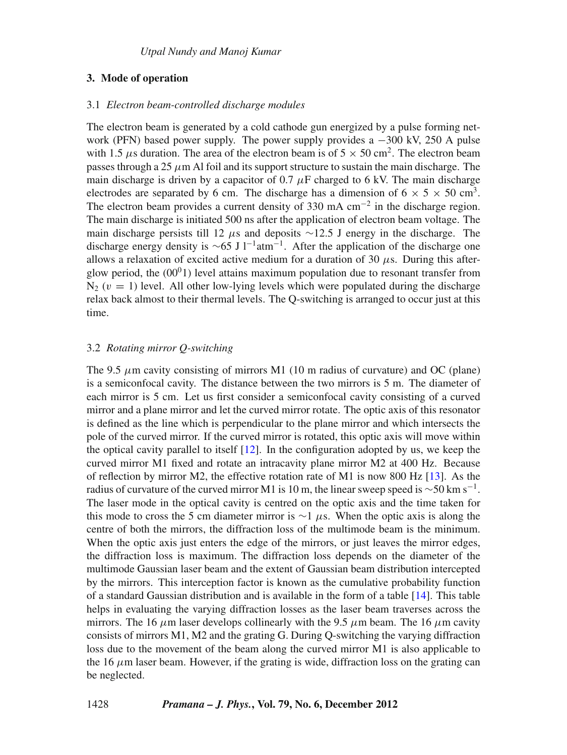# **3. Mode of operation**

#### 3.1 *Electron beam-controlled discharge modules*

The electron beam is generated by a cold cathode gun energized by a pulse forming network (PFN) based power supply. The power supply provides a −300 kV, 250 A pulse with 1.5  $\mu$ s duration. The area of the electron beam is of  $5 \times 50$  cm<sup>2</sup>. The electron beam passes through a 25  $\mu$ m Al foil and its support structure to sustain the main discharge. The main discharge is driven by a capacitor of 0.7  $\mu$ F charged to 6 kV. The main discharge electrodes are separated by 6 cm. The discharge has a dimension of  $6 \times 5 \times 50$  cm<sup>3</sup>. The electron beam provides a current density of 330 mA  $cm^{-2}$  in the discharge region. The main discharge is initiated 500 ns after the application of electron beam voltage. The main discharge persists till 12  $\mu$ s and deposits ∼12.5 J energy in the discharge. The discharge energy density is  $\sim$ 65 J l<sup>-1</sup>atm<sup>-1</sup>. After the application of the discharge one allows a relaxation of excited active medium for a duration of  $30 \mu s$ . During this afterglow period, the  $(00^01)$  level attains maximum population due to resonant transfer from  $N_2$  ( $v = 1$ ) level. All other low-lying levels which were populated during the discharge relax back almost to their thermal levels. The Q-switching is arranged to occur just at this time.

# 3.2 *Rotating mirror Q-switching*

The 9.5  $\mu$ m cavity consisting of mirrors M1 (10 m radius of curvature) and OC (plane) is a semiconfocal cavity. The distance between the two mirrors is 5 m. The diameter of each mirror is 5 cm. Let us first consider a semiconfocal cavity consisting of a curved mirror and a plane mirror and let the curved mirror rotate. The optic axis of this resonator is defined as the line which is perpendicular to the plane mirror and which intersects the pole of the curved mirror. If the curved mirror is rotated, this optic axis will move within the optical cavity parallel to itself [\[12\]](#page-16-5). In the configuration adopted by us, we keep the curved mirror M1 fixed and rotate an intracavity plane mirror M2 at 400 Hz. Because of reflection by mirror M2, the effective rotation rate of M1 is now 800 Hz [\[13](#page-16-6)]. As the radius of curvature of the curved mirror M1 is 10 m, the linear sweep speed is  $\sim$ 50 km s<sup>-1</sup>. The laser mode in the optical cavity is centred on the optic axis and the time taken for this mode to cross the 5 cm diameter mirror is  $\sim$ 1  $\mu$ s. When the optic axis is along the centre of both the mirrors, the diffraction loss of the multimode beam is the minimum. When the optic axis just enters the edge of the mirrors, or just leaves the mirror edges, the diffraction loss is maximum. The diffraction loss depends on the diameter of the multimode Gaussian laser beam and the extent of Gaussian beam distribution intercepted by the mirrors. This interception factor is known as the cumulative probability function of a standard Gaussian distribution and is available in the form of a table [\[14\]](#page-16-7). This table helps in evaluating the varying diffraction losses as the laser beam traverses across the mirrors. The 16  $\mu$ m laser develops collinearly with the 9.5  $\mu$ m beam. The 16  $\mu$ m cavity consists of mirrors M1, M2 and the grating G. During Q-switching the varying diffraction loss due to the movement of the beam along the curved mirror M1 is also applicable to the 16  $\mu$ m laser beam. However, if the grating is wide, diffraction loss on the grating can be neglected.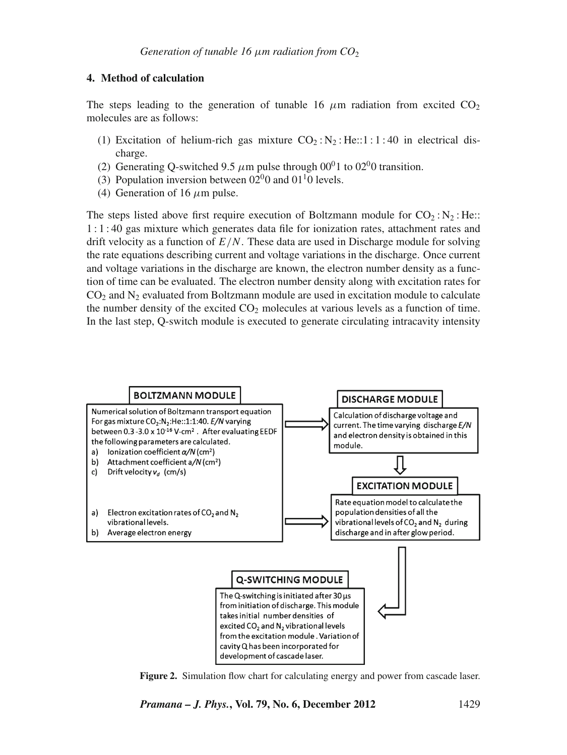# **4. Method of calculation**

The steps leading to the generation of tunable 16  $\mu$ m radiation from excited CO<sub>2</sub> molecules are as follows:

- (1) Excitation of helium-rich gas mixture  $CO_2$ : N<sub>2</sub>: He::1:1:40 in electrical discharge.
- (2) Generating Q-switched 9.5  $\mu$ m pulse through 00<sup>0</sup>1 to 02<sup>0</sup>0 transition.
- (3) Population inversion between  $02^{0}$  and  $01^{1}$  levels.
- (4) Generation of 16  $\mu$ m pulse.

The steps listed above first require execution of Boltzmann module for  $CO_2$ : N<sub>2</sub>: He:: 1 : 1 : 40 gas mixture which generates data file for ionization rates, attachment rates and drift velocity as a function of *E*/*N*. These data are used in Discharge module for solving the rate equations describing current and voltage variations in the discharge. Once current and voltage variations in the discharge are known, the electron number density as a function of time can be evaluated. The electron number density along with excitation rates for  $CO<sub>2</sub>$  and N<sub>2</sub> evaluated from Boltzmann module are used in excitation module to calculate the number density of the excited  $CO<sub>2</sub>$  molecules at various levels as a function of time. In the last step, Q-switch module is executed to generate circulating intracavity intensity

<span id="page-4-0"></span>

**Figure 2.** Simulation flow chart for calculating energy and power from cascade laser.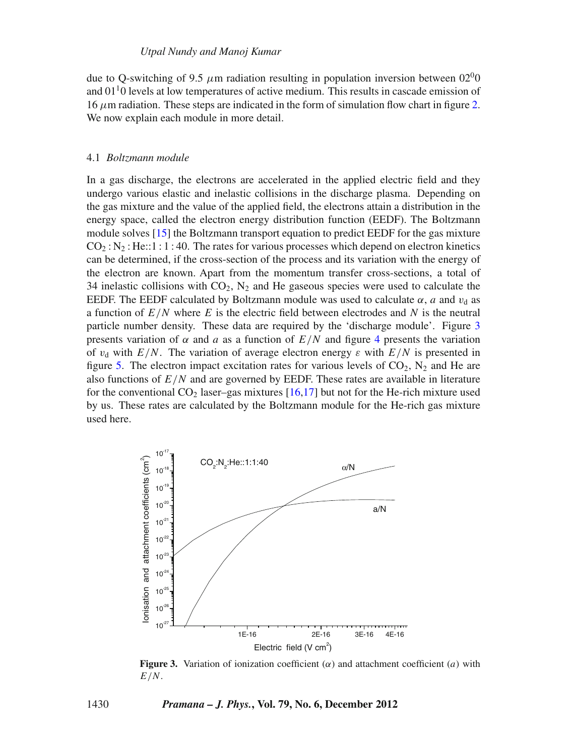due to O-switching of 9.5  $\mu$ m radiation resulting in population inversion between 02<sup>0</sup>0 and  $01<sup>1</sup>0$  levels at low temperatures of active medium. This results in cascade emission of 16  $\mu$ m radiation. These steps are indicated in the form of simulation flow chart in figure [2.](#page-4-0) We now explain each module in more detail.

# 4.1 *Boltzmann module*

In a gas discharge, the electrons are accelerated in the applied electric field and they undergo various elastic and inelastic collisions in the discharge plasma. Depending on the gas mixture and the value of the applied field, the electrons attain a distribution in the energy space, called the electron energy distribution function (EEDF). The Boltzmann module solves [\[15](#page-16-8)] the Boltzmann transport equation to predict EEDF for the gas mixture  $CO<sub>2</sub>$ : N<sub>2</sub>: He::1 : 1 : 40. The rates for various processes which depend on electron kinetics can be determined, if the cross-section of the process and its variation with the energy of the electron are known. Apart from the momentum transfer cross-sections, a total of 34 inelastic collisions with  $CO<sub>2</sub>$ ,  $N<sub>2</sub>$  and He gaseous species were used to calculate the EEDF. The EEDF calculated by Boltzmann module was used to calculate  $\alpha$ , *a* and  $v_d$  as a function of *E*/*N* where *E* is the electric field between electrodes and *N* is the neutral particle number density. These data are required by the 'discharge module'. Figure [3](#page-5-0) presents variation of  $\alpha$  and a as a function of  $E/N$  and figure [4](#page-6-0) presents the variation of  $v_d$  with  $E/N$ . The variation of average electron energy  $\varepsilon$  with  $E/N$  is presented in figure [5.](#page-6-1) The electron impact excitation rates for various levels of  $CO_2$ ,  $N_2$  and He are also functions of *E*/*N* and are governed by EEDF. These rates are available in literature for the conventional  $CO<sub>2</sub>$  laser–gas mixtures [\[16](#page-16-9)[,17\]](#page-16-10) but not for the He-rich mixture used by us. These rates are calculated by the Boltzmann module for the He-rich gas mixture used here.

<span id="page-5-0"></span>

**Figure 3.** Variation of ionization coefficient  $(\alpha)$  and attachment coefficient  $(a)$  with *E*/*N*.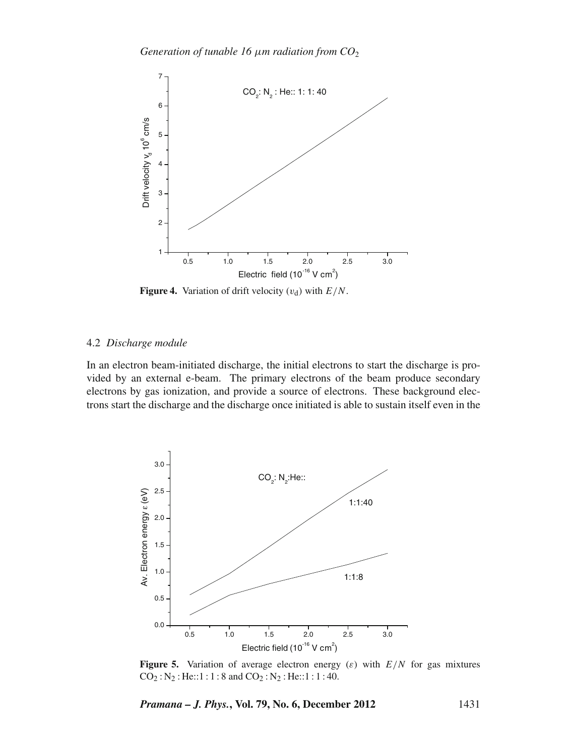<span id="page-6-0"></span>

**Figure 4.** Variation of drift velocity  $(v_d)$  with  $E/N$ .

#### 4.2 *Discharge module*

In an electron beam-initiated discharge, the initial electrons to start the discharge is provided by an external e-beam. The primary electrons of the beam produce secondary electrons by gas ionization, and provide a source of electrons. These background electrons start the discharge and the discharge once initiated is able to sustain itself even in the

<span id="page-6-1"></span>

**Figure 5.** Variation of average electron energy  $(\varepsilon)$  with  $E/N$  for gas mixtures  $CO_2$ : N<sub>2</sub>: He::1:1:8 and  $CO_2$ : N<sub>2</sub>: He::1:1:40.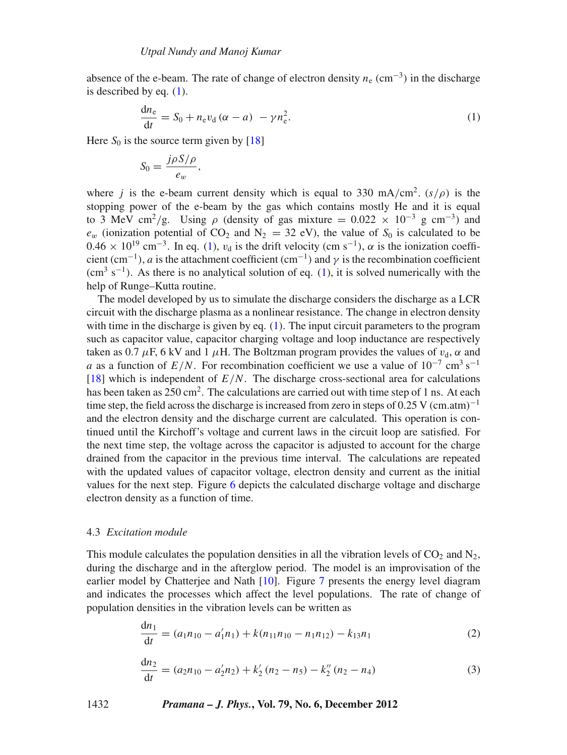absence of the e-beam. The rate of change of electron density *n*<sup>e</sup> (cm−3) in the discharge is described by eq. [\(1\)](#page-7-0).

<span id="page-7-0"></span>
$$
\frac{dn_e}{dt} = S_0 + n_e v_d (\alpha - a) - \gamma n_e^2.
$$
 (1)

Here  $S_0$  is the source term given by [\[18\]](#page-16-11)

$$
S_0 = \frac{j\rho S/\rho}{e_w},
$$

where *j* is the e-beam current density which is equal to 330 mA/cm<sup>2</sup>. ( $s/\rho$ ) is the stopping power of the e-beam by the gas which contains mostly He and it is equal to 3 MeV cm<sup>2</sup>/g. Using  $\rho$  (density of gas mixture = 0.022  $\times$  10<sup>-3</sup> g cm<sup>-3</sup>) and  $e_w$  (ionization potential of CO<sub>2</sub> and N<sub>2</sub> = 32 eV), the value of S<sub>0</sub> is calculated to be  $0.46 \times 10^{19}$  cm<sup>-3</sup>. In eq. [\(1\)](#page-7-0),  $v_d$  is the drift velocity (cm s<sup>-1</sup>),  $\alpha$  is the ionization coefficient (cm<sup>-1</sup>), *a* is the attachment coefficient (cm<sup>-1</sup>) and  $\gamma$  is the recombination coefficient  $\rm{cm^3~s^{-1}}$ ). As there is no analytical solution of eq. [\(1\)](#page-7-0), it is solved numerically with the help of Runge–Kutta routine.

The model developed by us to simulate the discharge considers the discharge as a LCR circuit with the discharge plasma as a nonlinear resistance. The change in electron density with time in the discharge is given by eq. [\(1\)](#page-7-0). The input circuit parameters to the program such as capacitor value, capacitor charging voltage and loop inductance are respectively taken as 0.7  $\mu$ F, 6 kV and 1  $\mu$ H. The Boltzman program provides the values of  $v_d$ ,  $\alpha$  and *a* as a function of  $E/N$ . For recombination coefficient we use a value of  $10^{-7}$  cm<sup>3</sup> s<sup>−1</sup> [\[18](#page-16-11)] which is independent of  $E/N$ . The discharge cross-sectional area for calculations has been taken as  $250 \text{ cm}^2$ . The calculations are carried out with time step of 1 ns. At each time step, the field across the discharge is increased from zero in steps of 0.25 V (cm.atm)<sup>-1</sup> and the electron density and the discharge current are calculated. This operation is continued until the Kirchoff's voltage and current laws in the circuit loop are satisfied. For the next time step, the voltage across the capacitor is adjusted to account for the charge drained from the capacitor in the previous time interval. The calculations are repeated with the updated values of capacitor voltage, electron density and current as the initial values for the next step. Figure [6](#page-8-0) depicts the calculated discharge voltage and discharge electron density as a function of time.

#### 4.3 *Excitation module*

This module calculates the population densities in all the vibration levels of  $CO<sub>2</sub>$  and N<sub>2</sub>, during the discharge and in the afterglow period. The model is an improvisation of the earlier model by Chatterjee and Nath [\[10](#page-16-3)]. Figure [7](#page-8-1) presents the energy level diagram and indicates the processes which affect the level populations. The rate of change of population densities in the vibration levels can be written as

<span id="page-7-1"></span>
$$
\frac{dn_1}{dt} = (a_1 n_{10} - a'_1 n_1) + k(n_{11} n_{10} - n_1 n_{12}) - k_{13} n_1
$$
\n(2)

$$
\frac{dn_2}{dt} = (a_2 n_{10} - a'_2 n_2) + k'_2 (n_2 - n_5) - k''_2 (n_2 - n_4)
$$
\n(3)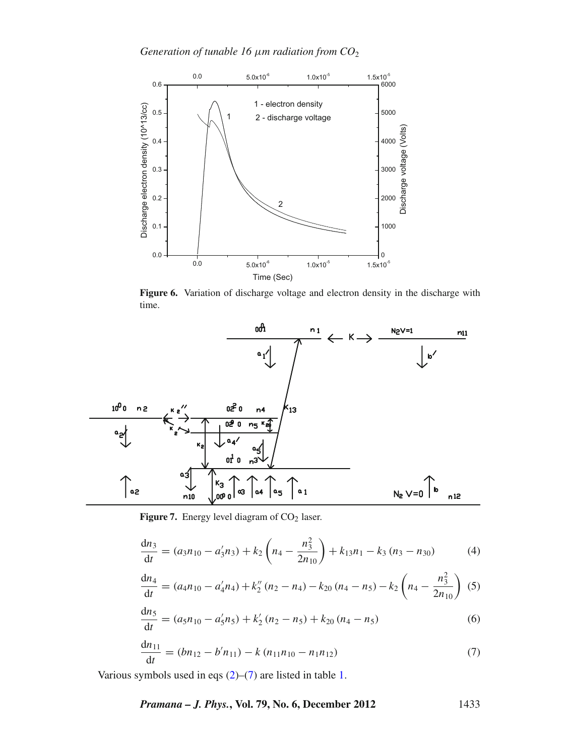*Generation of tunable 16* μ*m radiation from CO*<sup>2</sup>

<span id="page-8-0"></span>

**Figure 6.** Variation of discharge voltage and electron density in the discharge with time.

<span id="page-8-1"></span>

Figure 7. Energy level diagram of CO<sub>2</sub> laser.

$$
\frac{dn_3}{dt} = (a_3 n_{10} - a'_3 n_3) + k_2 \left( n_4 - \frac{n_3^2}{2n_{10}} \right) + k_{13} n_1 - k_3 (n_3 - n_{30}) \tag{4}
$$

$$
\frac{dn_4}{dt} = (a_4 n_{10} - a'_4 n_4) + k''_2 (n_2 - n_4) - k_{20} (n_4 - n_5) - k_2 \left(n_4 - \frac{n_3^2}{2n_{10}}\right)
$$
 (5)

$$
\frac{dn_5}{dt} = (a_5n_{10} - a'_5n_5) + k'_2(n_2 - n_5) + k_{20}(n_4 - n_5)
$$
\n(6)

$$
\frac{dn_{11}}{dt} = (bn_{12} - b'n_{11}) - k(n_{11}n_{10} - n_1n_{12})
$$
\n(7)

<span id="page-8-2"></span>Various symbols used in eqs [\(2\)](#page-7-1)–[\(7\)](#page-8-2) are listed in table [1.](#page-9-0)

*Pramana – J. Phys.***, Vol. 79, No. 6, December 2012** 1433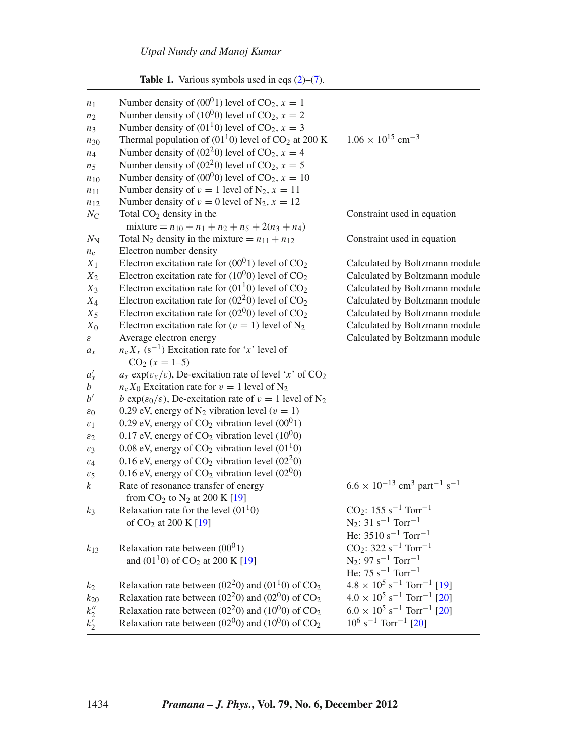| <b>Table 1.</b> Various symbols used in eqs $(2)$ – $(7)$ . |  |  |  |  |  |  |  |
|-------------------------------------------------------------|--|--|--|--|--|--|--|
|-------------------------------------------------------------|--|--|--|--|--|--|--|

<span id="page-9-0"></span>

| n <sub>1</sub>  | Number density of $(00^01)$ level of CO <sub>2</sub> , $x = 1$                              |                                                                          |
|-----------------|---------------------------------------------------------------------------------------------|--------------------------------------------------------------------------|
| n <sub>2</sub>  | Number density of (10 <sup>0</sup> 0) level of CO <sub>2</sub> , $x = 2$                    |                                                                          |
| $n_3$           | Number density of (01 <sup>1</sup> 0) level of CO <sub>2</sub> , $x = 3$                    |                                                                          |
| $n_{30}$        | Thermal population of $(01^10)$ level of CO <sub>2</sub> at 200 K                           | $1.06 \times 10^{15}$ cm <sup>-3</sup>                                   |
| $n_4$           | Number density of (02 <sup>2</sup> 0) level of CO <sub>2</sub> , $x = 4$                    |                                                                          |
| n <sub>5</sub>  | Number density of (02 <sup>2</sup> 0) level of CO <sub>2</sub> , $x = 5$                    |                                                                          |
| $n_{10}$        | Number density of $(00^00)$ level of CO <sub>2</sub> , $x = 10$                             |                                                                          |
| $n_{11}$        | Number density of $v = 1$ level of N <sub>2</sub> , $x = 11$                                |                                                                          |
| $n_{12}$        | Number density of $v = 0$ level of N <sub>2</sub> , $x = 12$                                |                                                                          |
| $N_{\rm C}$     | Total $CO2$ density in the                                                                  | Constraint used in equation                                              |
|                 | mixture = $n_{10} + n_1 + n_2 + n_5 + 2(n_3 + n_4)$                                         |                                                                          |
| $N_{\rm N}$     | Total N <sub>2</sub> density in the mixture = $n_{11} + n_{12}$                             | Constraint used in equation                                              |
| $n_{e}$         | Electron number density                                                                     |                                                                          |
| $X_1$           | Electron excitation rate for $(00^01)$ level of CO <sub>2</sub>                             | Calculated by Boltzmann module                                           |
| $X_2$           | Electron excitation rate for $(10^{0}0)$ level of CO <sub>2</sub>                           | Calculated by Boltzmann module                                           |
| $X_3$           | Electron excitation rate for $(01^10)$ level of CO <sub>2</sub>                             | Calculated by Boltzmann module                                           |
| $X_4$           | Electron excitation rate for $(02^20)$ level of CO <sub>2</sub>                             | Calculated by Boltzmann module                                           |
| $X_5$           | Electron excitation rate for $(02^{0}0)$ level of CO <sub>2</sub>                           | Calculated by Boltzmann module                                           |
| $X_0$           | Electron excitation rate for $(v = 1)$ level of N <sub>2</sub>                              | Calculated by Boltzmann module                                           |
| $\mathcal E$    | Average electron energy                                                                     | Calculated by Boltzmann module                                           |
| $a_x$           | $n_e X_x$ (s <sup>-1</sup> ) Excitation rate for 'x' level of                               |                                                                          |
|                 | $CO2$ (x = 1–5)                                                                             |                                                                          |
| $a'_x$          | $a_x \exp(\varepsilon_x/\varepsilon)$ , De-excitation rate of level 'x' of CO <sub>2</sub>  |                                                                          |
| b               | $n_e X_0$ Excitation rate for $v = 1$ level of N <sub>2</sub>                               |                                                                          |
| $b^{\prime}$    | b exp( $\varepsilon_0/\varepsilon$ ), De-excitation rate of $v = 1$ level of N <sub>2</sub> |                                                                          |
| $\varepsilon_0$ | 0.29 eV, energy of N <sub>2</sub> vibration level ( $v = 1$ )                               |                                                                          |
| $\varepsilon_1$ | 0.29 eV, energy of $CO2$ vibration level $(0001)$                                           |                                                                          |
| $\varepsilon_2$ | 0.17 eV, energy of $CO2$ vibration level (10 <sup>0</sup> 0)                                |                                                                          |
| $\varepsilon_3$ | 0.08 eV, energy of $CO2$ vibration level (01 <sup>1</sup> 0)                                |                                                                          |
| $\varepsilon_4$ | 0.16 eV, energy of $CO2$ vibration level (02 <sup>2</sup> 0)                                |                                                                          |
| $\varepsilon_5$ | 0.16 eV, energy of $CO2$ vibration level (02 <sup>0</sup> 0)                                |                                                                          |
| k               | Rate of resonance transfer of energy                                                        | $6.6 \times 10^{-13}$ cm <sup>3</sup> part <sup>-1</sup> s <sup>-1</sup> |
|                 | from $CO_2$ to $N_2$ at 200 K [19]                                                          |                                                                          |
| $k_3$           | Relaxation rate for the level $(0110)$                                                      | $CO_2$ : 155 s <sup>-1</sup> Torr <sup>-1</sup>                          |
|                 | of CO <sub>2</sub> at 200 K [19]                                                            | $N_2$ : 31 s <sup>-1</sup> Torr <sup>-1</sup>                            |
|                 |                                                                                             | He: $3510 s^{-1}$ Torr <sup>-1</sup>                                     |
| $k_{13}$        | Relaxation rate between $(0001)$                                                            | $CO_2$ : 322 s <sup>-1</sup> Torr <sup>-1</sup>                          |
|                 | and $(0110)$ of CO <sub>2</sub> at 200 K [19]                                               | $N_2$ : 97 s <sup>-1</sup> Torr <sup>-1</sup>                            |
|                 |                                                                                             | He: $75 s^{-1}$ Torr <sup>-1</sup>                                       |
| k2              | Relaxation rate between (02 <sup>2</sup> 0) and (01 <sup>1</sup> 0) of CO <sub>2</sub>      | $4.8 \times 10^5$ s <sup>-1</sup> Torr <sup>-1</sup> [19]                |
| $k_{20}$        | Relaxation rate between (02 <sup>2</sup> 0) and (02 <sup>0</sup> 0) of CO <sub>2</sub>      | $4.0 \times 10^5$ s <sup>-1</sup> Torr <sup>-1</sup> [20]                |
| $k_2''$         | Relaxation rate between (02 <sup>2</sup> 0) and (10 <sup>0</sup> 0) of CO <sub>2</sub>      | $6.0 \times 10^5$ s <sup>-1</sup> Torr <sup>-1</sup> [20]                |
| $k'_2$          | Relaxation rate between $(02^{0}0)$ and $(10^{0}0)$ of CO <sub>2</sub>                      | $10^6$ s <sup>-1</sup> Torr <sup>-1</sup> [20]                           |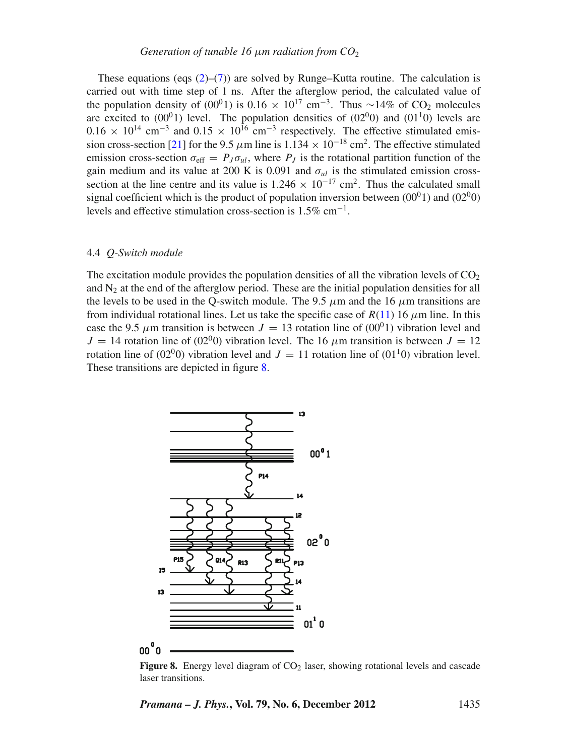These equations (eqs  $(2)$ – $(7)$ ) are solved by Runge–Kutta routine. The calculation is carried out with time step of 1 ns. After the afterglow period, the calculated value of the population density of (00<sup>0</sup>1) is 0.16 × 10<sup>17</sup> cm<sup>-3</sup>. Thus ~14% of CO<sub>2</sub> molecules are excited to  $(00^01)$  level. The population densities of  $(02^00)$  and  $(01^10)$  levels are  $0.16 \times 10^{14}$  cm<sup>-3</sup> and  $0.15 \times 10^{16}$  cm<sup>-3</sup> respectively. The effective stimulated emis-sion cross-section [\[21](#page-16-14)] for the 9.5  $\mu$ m line is 1.134 × 10<sup>-18</sup> cm<sup>2</sup>. The effective stimulated emission cross-section  $\sigma_{\text{eff}} = P_J \sigma_{ul}$ , where  $P_J$  is the rotational partition function of the gain medium and its value at 200 K is 0.091 and  $\sigma_{ul}$  is the stimulated emission crosssection at the line centre and its value is  $1.246 \times 10^{-17}$  cm<sup>2</sup>. Thus the calculated small signal coefficient which is the product of population inversion between  $(00^01)$  and  $(02^00)$ levels and effective stimulation cross-section is  $1.5\%$  cm<sup>-1</sup>.

#### 4.4 *Q-Switch module*

The excitation module provides the population densities of all the vibration levels of  $CO<sub>2</sub>$ and  $N<sub>2</sub>$  at the end of the afterglow period. These are the initial population densities for all the levels to be used in the Q-switch module. The 9.5  $\mu$ m and the 16  $\mu$ m transitions are from individual rotational lines. Let us take the specific case of  $R(11)$  $R(11)$  16  $\mu$ m line. In this case the 9.5  $\mu$ m transition is between  $J = 13$  rotation line of (00<sup>0</sup>1) vibration level and  $J = 14$  rotation line of (02<sup>0</sup>0) vibration level. The 16  $\mu$ m transition is between  $J = 12$ rotation line of (02<sup>0</sup>0) vibration level and  $J = 11$  rotation line of (01<sup>1</sup>0) vibration level. These transitions are depicted in figure [8.](#page-10-0)

<span id="page-10-0"></span>

**Figure 8.** Energy level diagram of  $CO<sub>2</sub>$  laser, showing rotational levels and cascade laser transitions.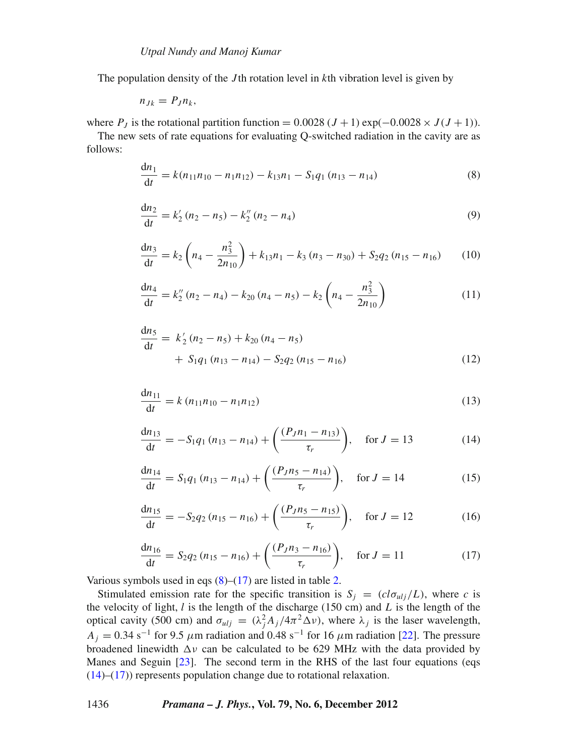The population density of the *J* th rotation level in *k*th vibration level is given by

$$
n_{Jk}=P_J n_k,
$$

where  $P_J$  is the rotational partition function = 0.0028 ( $J + 1$ ) exp(-0.0028 ×  $J(J + 1)$ ).

The new sets of rate equations for evaluating Q-switched radiation in the cavity are as follows:

<span id="page-11-2"></span>
$$
\frac{dn_1}{dt} = k(n_{11}n_{10} - n_1n_{12}) - k_{13}n_1 - S_1q_1(n_{13} - n_{14})
$$
\n(8)

$$
\frac{dn_2}{dt} = k'_2 (n_2 - n_5) - k''_2 (n_2 - n_4)
$$
\n(9)

$$
\frac{dn_3}{dt} = k_2 \left( n_4 - \frac{n_3^2}{2n_{10}} \right) + k_{13}n_1 - k_3 (n_3 - n_{30}) + S_2 q_2 (n_{15} - n_{16}) \tag{10}
$$

<span id="page-11-1"></span>
$$
\frac{dn_4}{dt} = k_2''(n_2 - n_4) - k_{20}(n_4 - n_5) - k_2\left(n_4 - \frac{n_3^2}{2n_{10}}\right)
$$
\n(11)

$$
\frac{dn_5}{dt} = k'_2 (n_2 - n_5) + k_{20} (n_4 - n_5) + S_1 q_1 (n_{13} - n_{14}) - S_2 q_2 (n_{15} - n_{16})
$$
\n(12)

<span id="page-11-4"></span>
$$
\frac{dn_{11}}{dt} = k (n_{11}n_{10} - n_1n_{12})
$$
\n(13)

<span id="page-11-0"></span>
$$
\frac{dn_{13}}{dt} = -S_1 q_1 (n_{13} - n_{14}) + \left(\frac{(P_J n_1 - n_{13})}{\tau_r}\right), \quad \text{for } J = 13 \tag{14}
$$

$$
\frac{dn_{14}}{dt} = S_1 q_1 (n_{13} - n_{14}) + \left(\frac{(P_J n_5 - n_{14})}{\tau_r}\right), \quad \text{for } J = 14 \tag{15}
$$

$$
\frac{dn_{15}}{dt} = -S_2 q_2 (n_{15} - n_{16}) + \left(\frac{(P_J n_5 - n_{15})}{\tau_r}\right), \quad \text{for } J = 12 \tag{16}
$$

$$
\frac{dn_{16}}{dt} = S_2 q_2 (n_{15} - n_{16}) + \left(\frac{(P_J n_3 - n_{16})}{\tau_r}\right), \quad \text{for } J = 11 \tag{17}
$$

<span id="page-11-3"></span>Various symbols used in eqs  $(8)$ – $(17)$  are listed in table [2.](#page-12-0)

Stimulated emission rate for the specific transition is  $S_j = (c l \sigma_{ulj}/L)$ , where *c* is the velocity of light, *l* is the length of the discharge (150 cm) and *L* is the length of the optical cavity (500 cm) and  $\sigma_{ulj} = (\lambda_j^2 A_j / 4\pi^2 \Delta \nu)$ , where  $\lambda_j$  is the laser wavelength,  $A_j = 0.34$  s<sup>-1</sup> for 9.5  $\mu$ m radiation and 0.48 s<sup>-1</sup> for 16  $\mu$ m radiation [\[22\]](#page-16-15). The pressure broadened linewidth  $\Delta v$  can be calculated to be 629 MHz with the data provided by Manes and Seguin [\[23](#page-16-16)]. The second term in the RHS of the last four equations (eqs [\(14\)](#page-11-0)–[\(17\)](#page-11-3)) represents population change due to rotational relaxation.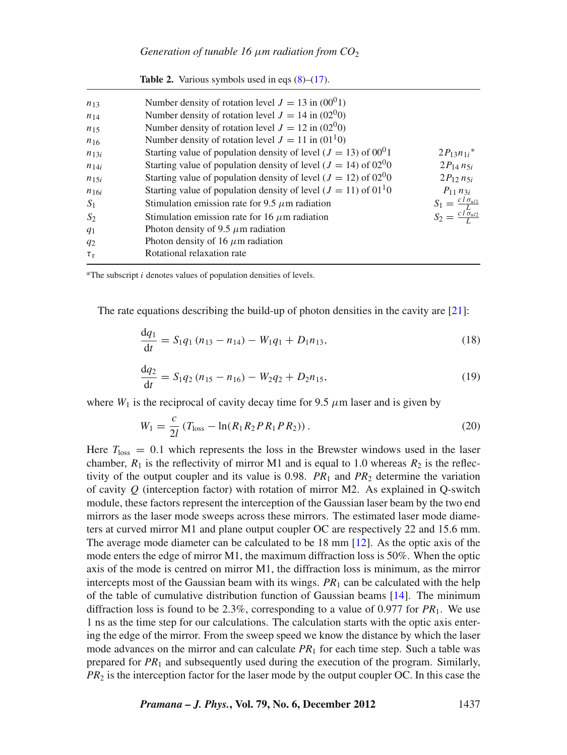<span id="page-12-0"></span>

| $n_{13}$  | Number density of rotation level $J = 13$ in (00 <sup>0</sup> 1)                |                                    |
|-----------|---------------------------------------------------------------------------------|------------------------------------|
| $n_{14}$  | Number density of rotation level $J = 14$ in (02 <sup>0</sup> 0)                |                                    |
| $n_{15}$  | Number density of rotation level $J = 12$ in (02 <sup>0</sup> 0)                |                                    |
| $n_{16}$  | Number density of rotation level $J = 11$ in (01 <sup>1</sup> 0)                |                                    |
| $n_{13i}$ | Starting value of population density of level $(J = 13)$ of $00^01$             | $2P_{13}n_{1i}$ <sup>*</sup>       |
| $n_{14i}$ | Starting value of population density of level ( $J = 14$ ) of 02 <sup>0</sup> 0 | $2P_{14} n_{5i}$                   |
| $n_{15i}$ | Starting value of population density of level ( $J = 12$ ) of 02 <sup>0</sup> 0 | $2P_{12} n_{5i}$                   |
| $n_{16i}$ | Starting value of population density of level ( $J = 11$ ) of $0110$            | $P_{11} n_{3i}$                    |
| $S_1$     | Stimulation emission rate for 9.5 $\mu$ m radiation                             | $S_1 = \frac{c l \sigma_{ul1}}{L}$ |
| $S_2$     | Stimulation emission rate for 16 $\mu$ m radiation                              | $S_2 = \frac{c l \sigma_{ul2}}{I}$ |
| $q_1$     | Photon density of 9.5 $\mu$ m radiation                                         |                                    |
| $q_2$     | Photon density of 16 $\mu$ m radiation                                          |                                    |
| $\tau_r$  | Rotational relaxation rate                                                      |                                    |
|           |                                                                                 |                                    |

**Table 2.** Various symbols used in eqs  $(8)$ – $(17)$ .

\*The subscript *i* denotes values of population densities of levels.

The rate equations describing the build-up of photon densities in the cavity are [\[21\]](#page-16-14):

<span id="page-12-1"></span>
$$
\frac{dq_1}{dt} = S_1 q_1 (n_{13} - n_{14}) - W_1 q_1 + D_1 n_{13},
$$
\n(18)

$$
\frac{dq_2}{dt} = S_1 q_2 (n_{15} - n_{16}) - W_2 q_2 + D_2 n_{15},
$$
\n(19)

<span id="page-12-2"></span>where  $W_1$  is the reciprocal of cavity decay time for 9.5  $\mu$ m laser and is given by

$$
W_1 = \frac{c}{2l} \left( T_{\text{loss}} - \ln(R_1 R_2 P R_1 P R_2) \right). \tag{20}
$$

Here  $T_{\text{loss}} = 0.1$  which represents the loss in the Brewster windows used in the laser chamber,  $R_1$  is the reflectivity of mirror M1 and is equal to 1.0 whereas  $R_2$  is the reflectivity of the output coupler and its value is 0.98.  $PR_1$  and  $PR_2$  determine the variation of cavity *Q* (interception factor) with rotation of mirror M2. As explained in Q-switch module, these factors represent the interception of the Gaussian laser beam by the two end mirrors as the laser mode sweeps across these mirrors. The estimated laser mode diameters at curved mirror M1 and plane output coupler OC are respectively 22 and 15.6 mm. The average mode diameter can be calculated to be 18 mm [\[12\]](#page-16-5). As the optic axis of the mode enters the edge of mirror M1, the maximum diffraction loss is 50%. When the optic axis of the mode is centred on mirror M1, the diffraction loss is minimum, as the mirror intercepts most of the Gaussian beam with its wings.  $PR<sub>1</sub>$  can be calculated with the help of the table of cumulative distribution function of Gaussian beams [\[14](#page-16-7)]. The minimum diffraction loss is found to be 2.3%, corresponding to a value of 0.977 for *PR*1. We use 1 ns as the time step for our calculations. The calculation starts with the optic axis entering the edge of the mirror. From the sweep speed we know the distance by which the laser mode advances on the mirror and can calculate  $PR_1$  for each time step. Such a table was prepared for *PR*<sup>1</sup> and subsequently used during the execution of the program. Similarly, *PR*<sup>2</sup> is the interception factor for the laser mode by the output coupler OC. In this case the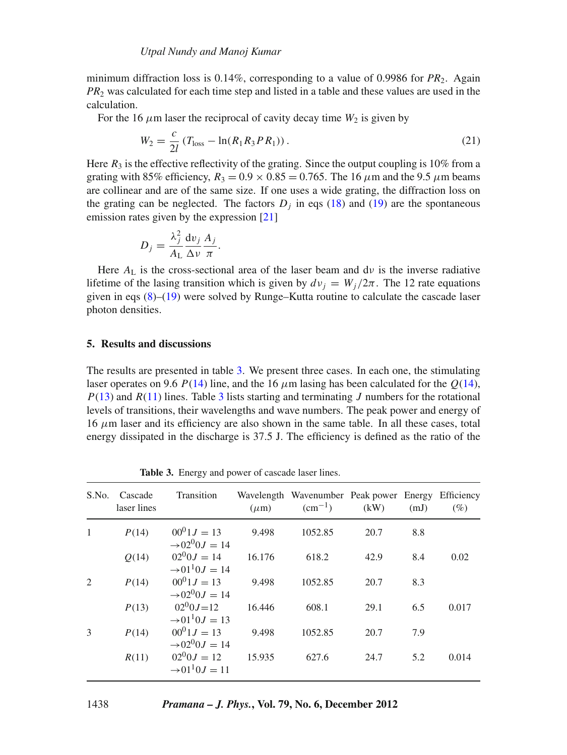minimum diffraction loss is  $0.14\%$ , corresponding to a value of 0.9986 for  $PR_2$ . Again *PR*<sup>2</sup> was calculated for each time step and listed in a table and these values are used in the calculation.

For the 16  $\mu$ m laser the reciprocal of cavity decay time  $W_2$  is given by

$$
W_2 = \frac{c}{2l} \left( T_{\text{loss}} - \ln(R_1 R_3 P R_1) \right). \tag{21}
$$

Here  $R_3$  is the effective reflectivity of the grating. Since the output coupling is 10% from a grating with 85% efficiency,  $R_3 = 0.9 \times 0.85 = 0.765$ . The 16  $\mu$ m and the 9.5  $\mu$ m beams are collinear and are of the same size. If one uses a wide grating, the diffraction loss on the grating can be neglected. The factors  $D_i$  in eqs [\(18\)](#page-12-1) and [\(19\)](#page-12-2) are the spontaneous emission rates given by the expression [\[21\]](#page-16-14)

$$
D_j = \frac{\lambda_j^2}{A_{\rm L}} \frac{\mathrm{d}v_j}{\Delta v} \frac{A_j}{\pi}.
$$

Here  $A_L$  is the cross-sectional area of the laser beam and dv is the inverse radiative lifetime of the lasing transition which is given by  $dv_j = W_j/2\pi$ . The 12 rate equations given in eqs [\(8\)](#page-11-2)–[\(19\)](#page-12-2) were solved by Runge–Kutta routine to calculate the cascade laser photon densities.

# **5. Results and discussions**

The results are presented in table [3.](#page-13-0) We present three cases. In each one, the stimulating laser operates on 9.6 *P*[\(14\)](#page-11-0) line, and the 16  $\mu$ m lasing has been calculated for the *Q*(14), *P*[\(13\)](#page-11-4) and *R*[\(11\)](#page-11-1) lines. Table [3](#page-13-0) lists starting and terminating *J* numbers for the rotational levels of transitions, their wavelengths and wave numbers. The peak power and energy of  $16 \mu m$  laser and its efficiency are also shown in the same table. In all these cases, total energy dissipated in the discharge is 37.5 J. The efficiency is defined as the ratio of the

<span id="page-13-0"></span>

| S.No.        | Cascade<br>laser lines | Transition                                     | $(\mu m)$ | Wavelength Wavenumber Peak power Energy<br>$\rm (cm^{-1})$ | (kW) | (mJ) | Efficiency<br>(%) |
|--------------|------------------------|------------------------------------------------|-----------|------------------------------------------------------------|------|------|-------------------|
| $\mathbf{1}$ | P(14)                  | $00^01J = 13$<br>$\rightarrow 02^{0}0.I = 14$  | 9.498     | 1052.85                                                    | 20.7 | 8.8  |                   |
|              | O(14)                  | $02^{0}0J = 14$<br>$\rightarrow 01^{1}0J = 14$ | 16.176    | 618.2                                                      | 42.9 | 8.4  | 0.02              |
| 2            | P(14)                  | $00^01J = 13$<br>$\rightarrow 02^{0}0.I = 14$  | 9.498     | 1052.85                                                    | 20.7 | 8.3  |                   |
|              | P(13)                  | $02^{0}0J=12$<br>$\rightarrow 01^{1}0J = 13$   | 16.446    | 608.1                                                      | 29.1 | 6.5  | 0.017             |
| 3            | P(14)                  | $00^01 J = 13$<br>$\rightarrow 02^{0}0J = 14$  | 9.498     | 1052.85                                                    | 20.7 | 7.9  |                   |
|              | R(11)                  | $02^{0}0J = 12$<br>$\rightarrow 01^{1}0J = 11$ | 15.935    | 627.6                                                      | 24.7 | 5.2  | 0.014             |

**Table 3.** Energy and power of cascade laser lines.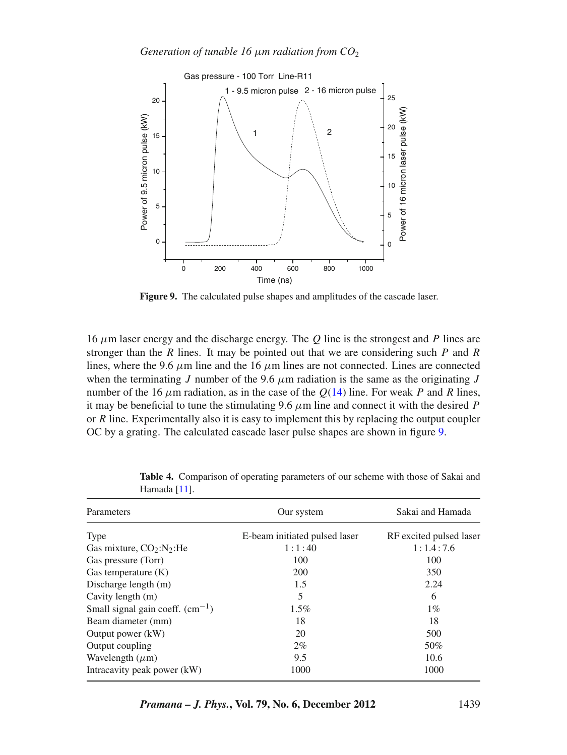<span id="page-14-0"></span>

**Figure 9.** The calculated pulse shapes and amplitudes of the cascade laser.

16 μm laser energy and the discharge energy. The *Q* line is the strongest and *P* lines are stronger than the *R* lines. It may be pointed out that we are considering such *P* and *R* lines, where the 9.6  $\mu$ m line and the 16  $\mu$ m lines are not connected. Lines are connected when the terminating *J* number of the 9.6  $\mu$ m radiation is the same as the originating *J* number of the 16  $\mu$ m radiation, as in the case of the  $Q(14)$  $Q(14)$  line. For weak *P* and *R* lines, it may be beneficial to tune the stimulating 9.6  $\mu$ m line and connect it with the desired *P* or *R* line. Experimentally also it is easy to implement this by replacing the output coupler OC by a grating. The calculated cascade laser pulse shapes are shown in figure [9.](#page-14-0)

<span id="page-14-1"></span>

| Parameters                        | Our system                    | Sakai and Hamada        |  |  |
|-----------------------------------|-------------------------------|-------------------------|--|--|
| Type                              | E-beam initiated pulsed laser | RF excited pulsed laser |  |  |
| Gas mixture, $CO_2:N_2$ : He      | 1:1:40                        | 1:1.4:7.6               |  |  |
| Gas pressure (Torr)               | 100                           | 100                     |  |  |
| Gas temperature (K)               | 200                           | 350                     |  |  |
| Discharge length (m)              | 1.5                           | 2.24                    |  |  |
| Cavity length (m)                 | 5                             | 6                       |  |  |
| Small signal gain coeff. $(cm-1)$ | $1.5\%$                       | $1\%$                   |  |  |
| Beam diameter (mm)                | 18                            | 18                      |  |  |
| Output power (kW)                 | 20                            | 500                     |  |  |
| Output coupling                   | $2\%$                         | 50%                     |  |  |
| Wavelength $(\mu m)$              | 9.5                           | 10.6                    |  |  |
| Intracavity peak power (kW)       | 1000                          | 1000                    |  |  |

**Table 4.** Comparison of operating parameters of our scheme with those of Sakai and Hamada [\[11\]](#page-16-4).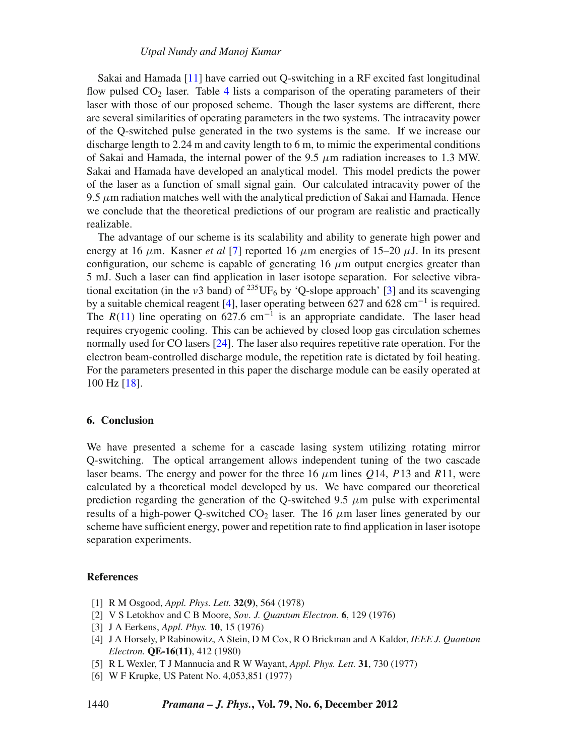Sakai and Hamada [\[11\]](#page-16-4) have carried out Q-switching in a RF excited fast longitudinal flow pulsed  $CO<sub>2</sub>$  laser. Table [4](#page-14-1) lists a comparison of the operating parameters of their laser with those of our proposed scheme. Though the laser systems are different, there are several similarities of operating parameters in the two systems. The intracavity power of the Q-switched pulse generated in the two systems is the same. If we increase our discharge length to 2.24 m and cavity length to 6 m, to mimic the experimental conditions of Sakai and Hamada, the internal power of the 9.5  $\mu$ m radiation increases to 1.3 MW. Sakai and Hamada have developed an analytical model. This model predicts the power of the laser as a function of small signal gain. Our calculated intracavity power of the  $9.5 \mu$ m radiation matches well with the analytical prediction of Sakai and Hamada. Hence we conclude that the theoretical predictions of our program are realistic and practically realizable.

The advantage of our scheme is its scalability and ability to generate high power and energy at 16  $\mu$ m. Kasner *et al* [\[7](#page-16-0)] reported 16  $\mu$ m energies of 15–20  $\mu$ J. In its present configuration, our scheme is capable of generating 16  $\mu$ m output energies greater than 5 mJ. Such a laser can find application in laser isotope separation. For selective vibrational excitation (in the  $v3$  band) of <sup>235</sup>UF<sub>6</sub> by 'Q-slope approach' [\[3](#page-15-5)] and its scavenging by a suitable chemical reagent [\[4](#page-15-2)], laser operating between 627 and 628 cm<sup>-1</sup> is required. The  $R(11)$  $R(11)$  line operating on 627.6 cm<sup>-1</sup> is an appropriate candidate. The laser head requires cryogenic cooling. This can be achieved by closed loop gas circulation schemes normally used for CO lasers [\[24\]](#page-16-17). The laser also requires repetitive rate operation. For the electron beam-controlled discharge module, the repetition rate is dictated by foil heating. For the parameters presented in this paper the discharge module can be easily operated at 100 Hz [\[18\]](#page-16-11).

#### **6. Conclusion**

We have presented a scheme for a cascade lasing system utilizing rotating mirror Q-switching. The optical arrangement allows independent tuning of the two cascade laser beams. The energy and power for the three 16 μm lines *Q*14, *P*13 and *R*11, were calculated by a theoretical model developed by us. We have compared our theoretical prediction regarding the generation of the Q-switched 9.5  $\mu$ m pulse with experimental results of a high-power Q-switched  $CO<sub>2</sub>$  laser. The 16  $\mu$ m laser lines generated by our scheme have sufficient energy, power and repetition rate to find application in laser isotope separation experiments.

#### **References**

- <span id="page-15-0"></span>[1] R M Osgood, *Appl. Phys. Lett.* **32(9)**, 564 (1978)
- <span id="page-15-1"></span>[2] V S Letokhov and C B Moore, *So*v*. J. Quantum Electron.* **6**, 129 (1976)
- <span id="page-15-5"></span>[3] J A Eerkens, *Appl. Phys.* **10**, 15 (1976)
- <span id="page-15-2"></span>[4] J A Horsely, P Rabinowitz, A Stein, D M Cox, R O Brickman and A Kaldor, *IEEE J. Quantum Electron.* **QE-16(11)**, 412 (1980)
- <span id="page-15-3"></span>[5] R L Wexler, T J Mannucia and R W Wayant, *Appl. Phys. Lett.* **31**, 730 (1977)
- <span id="page-15-4"></span>[6] W F Krupke, US Patent No. 4,053,851 (1977)